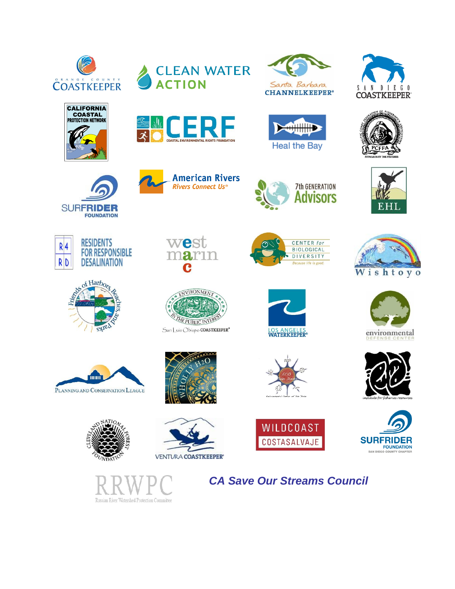

**CALIFORNIA COASTAL**<br>**PROTECTION NETWORK** 









**American Rivers** Rivers Connect Us®































west

C

narın















*CA Save Our Streams Council* 





**7th GENERATION Advisors** 

CENTER for

**BIOLOGICAL** 

DIVERSITY



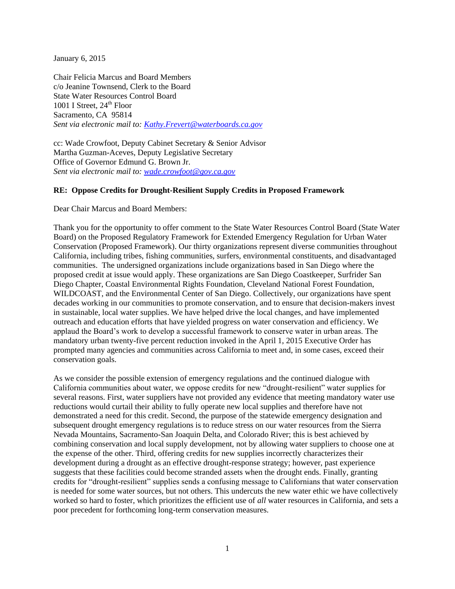January 6, 2015

Chair Felicia Marcus and Board Members c/o Jeanine Townsend, Clerk to the Board State Water Resources Control Board 1001 I Street,  $24<sup>th</sup>$  Floor Sacramento, CA 95814 *Sent via electronic mail to: [Kathy.Frevert@waterboards.ca.gov](mailto:Kathy.Frevert@waterboards.ca.gov)*

cc: Wade Crowfoot, Deputy Cabinet Secretary & Senior Advisor Martha Guzman-Aceves, Deputy Legislative Secretary Office of Governor Edmund G. Brown Jr. *Sent via electronic mail to: [wade.crowfoot@gov.ca.gov](mailto:wade.crowfoot@gov.ca.gov)*

## **RE: Oppose Credits for Drought-Resilient Supply Credits in Proposed Framework**

Dear Chair Marcus and Board Members:

Thank you for the opportunity to offer comment to the State Water Resources Control Board (State Water Board) on the Proposed Regulatory Framework for Extended Emergency Regulation for Urban Water Conservation (Proposed Framework). Our thirty organizations represent diverse communities throughout California, including tribes, fishing communities, surfers, environmental constituents, and disadvantaged communities. The undersigned organizations include organizations based in San Diego where the proposed credit at issue would apply. These organizations are San Diego Coastkeeper, Surfrider San Diego Chapter, Coastal Environmental Rights Foundation, Cleveland National Forest Foundation, WILDCOAST, and the Environmental Center of San Diego. Collectively, our organizations have spent decades working in our communities to promote conservation, and to ensure that decision-makers invest in sustainable, local water supplies. We have helped drive the local changes, and have implemented outreach and education efforts that have yielded progress on water conservation and efficiency. We applaud the Board's work to develop a successful framework to conserve water in urban areas. The mandatory urban twenty-five percent reduction invoked in the April 1, 2015 Executive Order has prompted many agencies and communities across California to meet and, in some cases, exceed their conservation goals.

As we consider the possible extension of emergency regulations and the continued dialogue with California communities about water, we oppose credits for new "drought-resilient" water supplies for several reasons. First, water suppliers have not provided any evidence that meeting mandatory water use reductions would curtail their ability to fully operate new local supplies and therefore have not demonstrated a need for this credit. Second, the purpose of the statewide emergency designation and subsequent drought emergency regulations is to reduce stress on our water resources from the Sierra Nevada Mountains, Sacramento-San Joaquin Delta, and Colorado River; this is best achieved by combining conservation and local supply development, not by allowing water suppliers to choose one at the expense of the other. Third, offering credits for new supplies incorrectly characterizes their development during a drought as an effective drought-response strategy; however, past experience suggests that these facilities could become stranded assets when the drought ends. Finally, granting credits for "drought-resilient" supplies sends a confusing message to Californians that water conservation is needed for some water sources, but not others. This undercuts the new water ethic we have collectively worked so hard to foster, which prioritizes the efficient use of *all* water resources in California, and sets a poor precedent for forthcoming long-term conservation measures.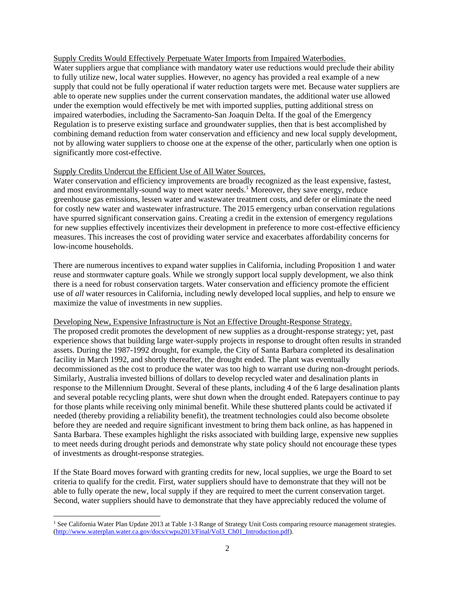## Supply Credits Would Effectively Perpetuate Water Imports from Impaired Waterbodies.

Water suppliers argue that compliance with mandatory water use reductions would preclude their ability to fully utilize new, local water supplies. However, no agency has provided a real example of a new supply that could not be fully operational if water reduction targets were met. Because water suppliers are able to operate new supplies under the current conservation mandates, the additional water use allowed under the exemption would effectively be met with imported supplies, putting additional stress on impaired waterbodies, including the Sacramento-San Joaquin Delta. If the goal of the Emergency Regulation is to preserve existing surface and groundwater supplies, then that is best accomplished by combining demand reduction from water conservation and efficiency and new local supply development, not by allowing water suppliers to choose one at the expense of the other, particularly when one option is significantly more cost-effective.

## Supply Credits Undercut the Efficient Use of All Water Sources.

Water conservation and efficiency improvements are broadly recognized as the least expensive, fastest, and most environmentally-sound way to meet water needs.<sup>1</sup> Moreover, they save energy, reduce greenhouse gas emissions, lessen water and wastewater treatment costs, and defer or eliminate the need for costly new water and wastewater infrastructure. The 2015 emergency urban conservation regulations have spurred significant conservation gains. Creating a credit in the extension of emergency regulations for new supplies effectively incentivizes their development in preference to more cost-effective efficiency measures. This increases the cost of providing water service and exacerbates affordability concerns for low-income households.

There are numerous incentives to expand water supplies in California, including Proposition 1 and water reuse and stormwater capture goals. While we strongly support local supply development, we also think there is a need for robust conservation targets. Water conservation and efficiency promote the efficient use of *all* water resources in California, including newly developed local supplies, and help to ensure we maximize the value of investments in new supplies.

## Developing New, Expensive Infrastructure is Not an Effective Drought-Response Strategy.

The proposed credit promotes the development of new supplies as a drought-response strategy; yet, past experience shows that building large water-supply projects in response to drought often results in stranded assets. During the 1987-1992 drought, for example, the City of Santa Barbara completed its desalination facility in March 1992, and shortly thereafter, the drought ended. The plant was eventually decommissioned as the cost to produce the water was too high to warrant use during non-drought periods. Similarly, Australia invested billions of dollars to develop recycled water and desalination plants in response to the Millennium Drought. Several of these plants, including 4 of the 6 large desalination plants and several potable recycling plants, were shut down when the drought ended. Ratepayers continue to pay for those plants while receiving only minimal benefit. While these shuttered plants could be activated if needed (thereby providing a reliability benefit), the treatment technologies could also become obsolete before they are needed and require significant investment to bring them back online, as has happened in Santa Barbara. These examples highlight the risks associated with building large, expensive new supplies to meet needs during drought periods and demonstrate why state policy should not encourage these types of investments as drought-response strategies.

If the State Board moves forward with granting credits for new, local supplies, we urge the Board to set criteria to qualify for the credit. First, water suppliers should have to demonstrate that they will not be able to fully operate the new, local supply if they are required to meet the current conservation target. Second, water suppliers should have to demonstrate that they have appreciably reduced the volume of

l

<sup>&</sup>lt;sup>1</sup> See California Water Plan Update 2013 at Table 1-3 Range of Strategy Unit Costs comparing resource management strategies. [\(http://www.waterplan.water.ca.gov/docs/cwpu2013/Final/Vol3\\_Ch01\\_Introduction.pdf\)](http://www.waterplan.water.ca.gov/docs/cwpu2013/Final/Vol3_Ch01_Introduction.pdf).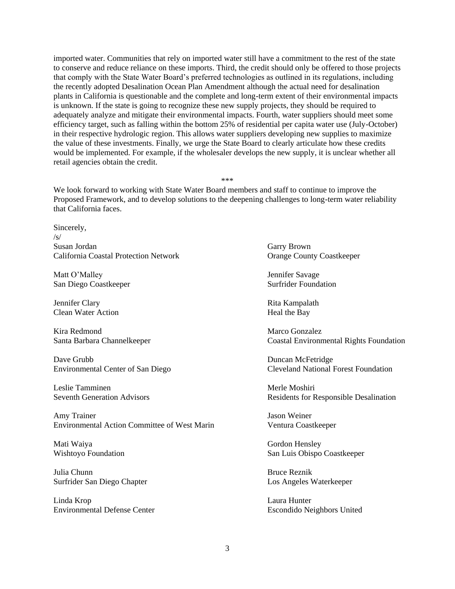imported water. Communities that rely on imported water still have a commitment to the rest of the state to conserve and reduce reliance on these imports. Third, the credit should only be offered to those projects that comply with the State Water Board's preferred technologies as outlined in its regulations, including the recently adopted Desalination Ocean Plan Amendment although the actual need for desalination plants in California is questionable and the complete and long-term extent of their environmental impacts is unknown. If the state is going to recognize these new supply projects, they should be required to adequately analyze and mitigate their environmental impacts. Fourth, water suppliers should meet some efficiency target, such as falling within the bottom 25% of residential per capita water use (July-October) in their respective hydrologic region. This allows water suppliers developing new supplies to maximize the value of these investments. Finally, we urge the State Board to clearly articulate how these credits would be implemented. For example, if the wholesaler develops the new supply, it is unclear whether all retail agencies obtain the credit.

We look forward to working with State Water Board members and staff to continue to improve the Proposed Framework, and to develop solutions to the deepening challenges to long-term water reliability that California faces.

\*\*\*

Sincerely,  $\sqrt{s}$ Susan Jordan Garry Brown California Coastal Protection Network Orange County Coastkeeper

Matt O'Malley **Intervalley** Jennifer Savage San Diego Coastkeeper Surfrider Foundation

Jennifer Clary **Rita Kampalath** Clean Water Action **Heal** the Bay

Kira Redmond **Marco Gonzalez** 

Environmental Center of San Diego

Leslie Tamminen and The Moshiri and The Moshiri Merle Moshiri

Amy Trainer Jason Weiner Environmental Action Committee of West Marin Ventura Coastkeeper

Mati Waiya Gordon Hensley

Julia Chunn Bruce Reznik Surfrider San Diego Chapter Los Angeles Waterkeeper

Linda Krop Laura Hunter Environmental Defense Center Escondido Neighbors United

Santa Barbara Channelkeeper Coastal Environmental Rights Foundation

Dave Grubb<br>
Environmental Center of San Diego<br>
Cleveland National Forest Foundation

Seventh Generation Advisors **Residents** For Responsible Desalination

Wishtoyo Foundation San Luis Obispo Coastkeeper